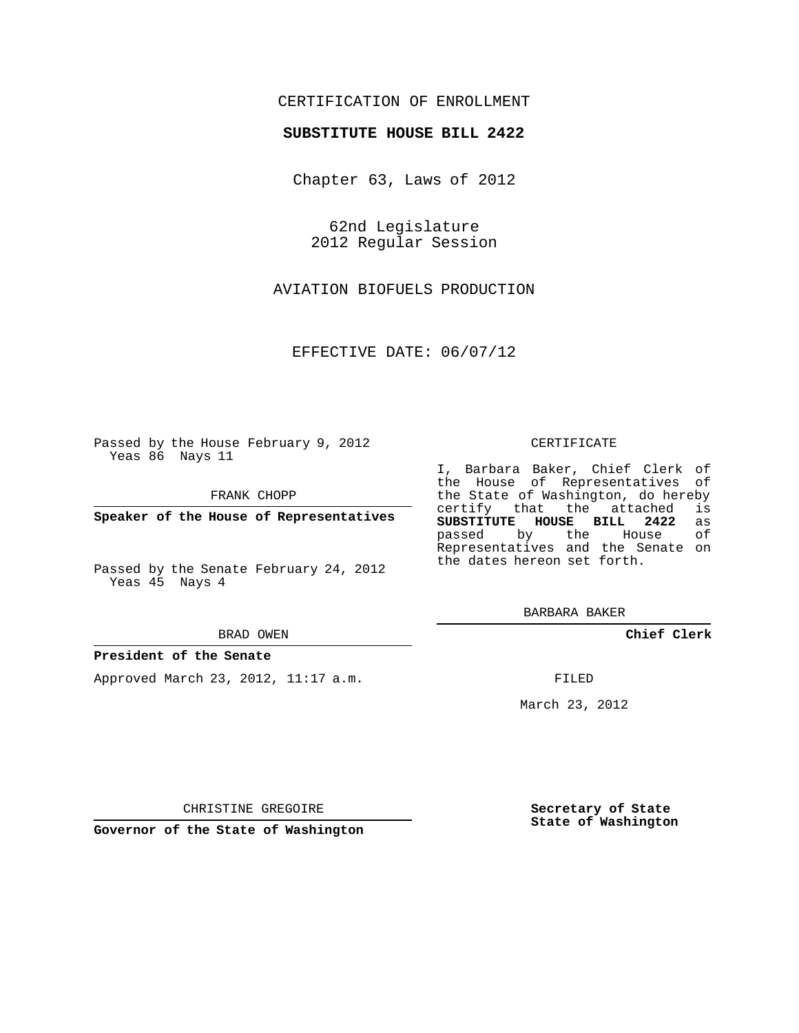## CERTIFICATION OF ENROLLMENT

### **SUBSTITUTE HOUSE BILL 2422**

Chapter 63, Laws of 2012

62nd Legislature 2012 Regular Session

AVIATION BIOFUELS PRODUCTION

EFFECTIVE DATE: 06/07/12

Passed by the House February 9, 2012 Yeas 86 Nays 11

FRANK CHOPP

**Speaker of the House of Representatives**

Passed by the Senate February 24, 2012 Yeas 45 Nays 4

#### BRAD OWEN

#### **President of the Senate**

Approved March 23, 2012, 11:17 a.m.

#### CERTIFICATE

I, Barbara Baker, Chief Clerk of the House of Representatives of the State of Washington, do hereby<br>certify that the attached is certify that the attached **SUBSTITUTE HOUSE BILL 2422** as passed by the Representatives and the Senate on the dates hereon set forth.

BARBARA BAKER

**Chief Clerk**

FILED

March 23, 2012

**Secretary of State State of Washington**

CHRISTINE GREGOIRE

**Governor of the State of Washington**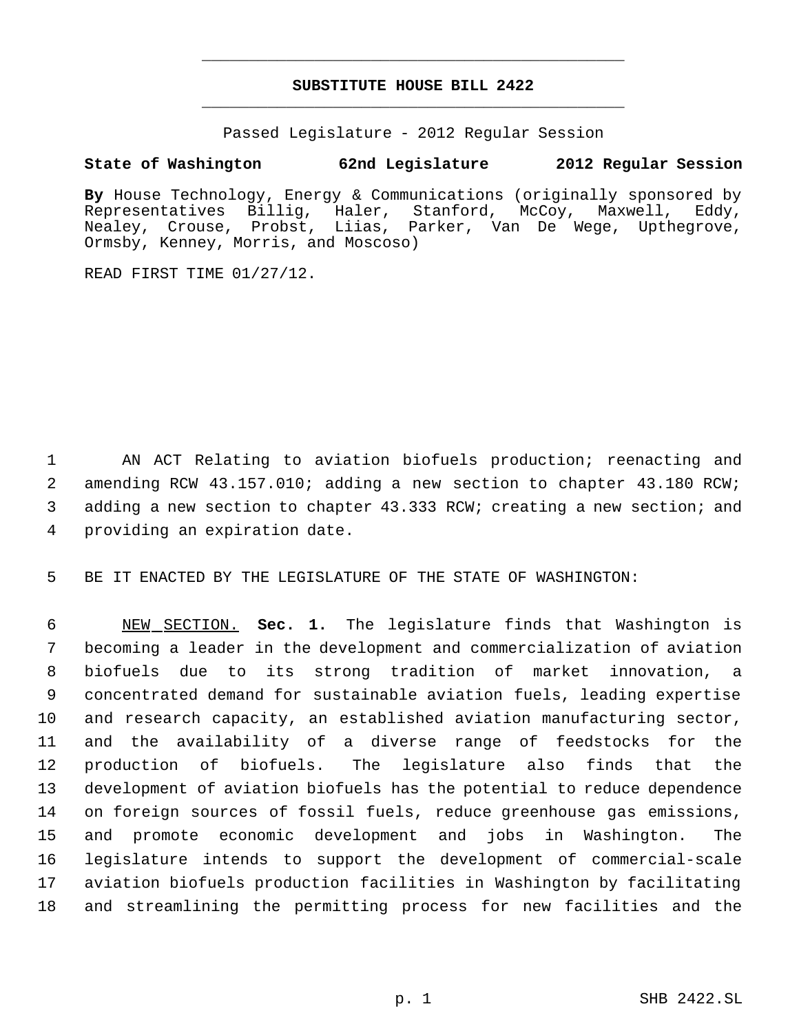# **SUBSTITUTE HOUSE BILL 2422** \_\_\_\_\_\_\_\_\_\_\_\_\_\_\_\_\_\_\_\_\_\_\_\_\_\_\_\_\_\_\_\_\_\_\_\_\_\_\_\_\_\_\_\_\_

\_\_\_\_\_\_\_\_\_\_\_\_\_\_\_\_\_\_\_\_\_\_\_\_\_\_\_\_\_\_\_\_\_\_\_\_\_\_\_\_\_\_\_\_\_

Passed Legislature - 2012 Regular Session

## **State of Washington 62nd Legislature 2012 Regular Session**

**By** House Technology, Energy & Communications (originally sponsored by Representatives Billig, Haler, Stanford, McCoy, Maxwell, Eddy, Nealey, Crouse, Probst, Liias, Parker, Van De Wege, Upthegrove, Ormsby, Kenney, Morris, and Moscoso)

READ FIRST TIME 01/27/12.

 AN ACT Relating to aviation biofuels production; reenacting and amending RCW 43.157.010; adding a new section to chapter 43.180 RCW; adding a new section to chapter 43.333 RCW; creating a new section; and providing an expiration date.

BE IT ENACTED BY THE LEGISLATURE OF THE STATE OF WASHINGTON:

 NEW SECTION. **Sec. 1.** The legislature finds that Washington is becoming a leader in the development and commercialization of aviation biofuels due to its strong tradition of market innovation, a concentrated demand for sustainable aviation fuels, leading expertise and research capacity, an established aviation manufacturing sector, and the availability of a diverse range of feedstocks for the production of biofuels. The legislature also finds that the development of aviation biofuels has the potential to reduce dependence on foreign sources of fossil fuels, reduce greenhouse gas emissions, and promote economic development and jobs in Washington. The legislature intends to support the development of commercial-scale aviation biofuels production facilities in Washington by facilitating and streamlining the permitting process for new facilities and the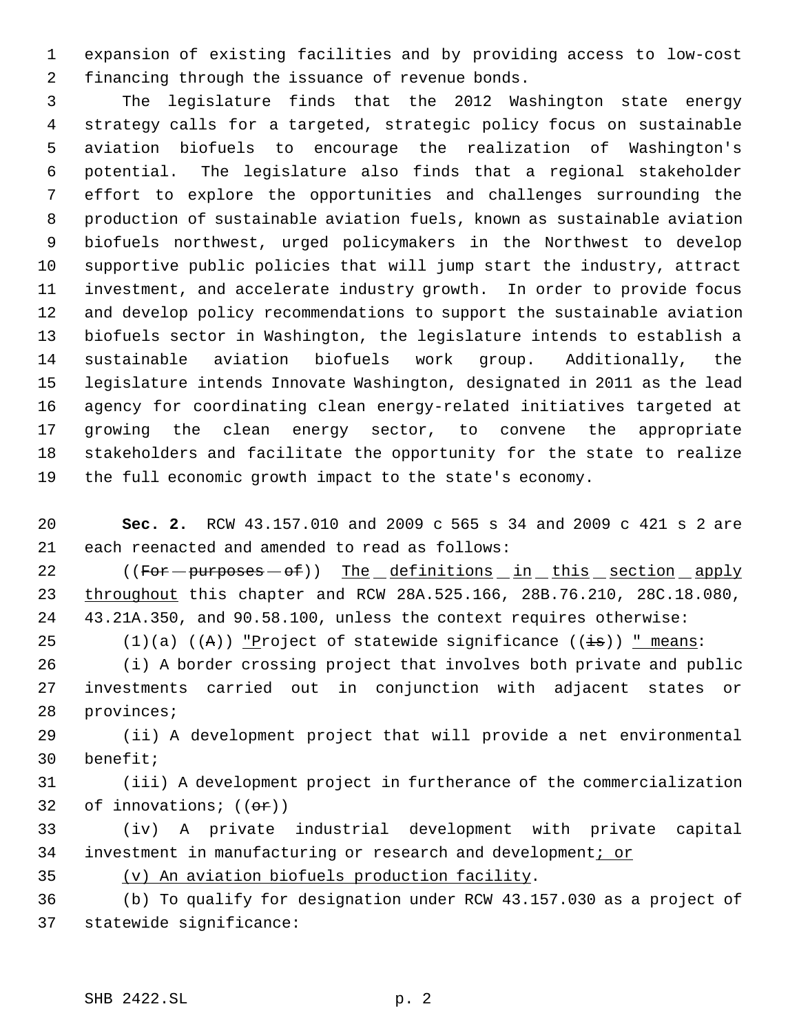expansion of existing facilities and by providing access to low-cost financing through the issuance of revenue bonds.

 The legislature finds that the 2012 Washington state energy strategy calls for a targeted, strategic policy focus on sustainable aviation biofuels to encourage the realization of Washington's potential. The legislature also finds that a regional stakeholder effort to explore the opportunities and challenges surrounding the production of sustainable aviation fuels, known as sustainable aviation biofuels northwest, urged policymakers in the Northwest to develop supportive public policies that will jump start the industry, attract investment, and accelerate industry growth. In order to provide focus and develop policy recommendations to support the sustainable aviation biofuels sector in Washington, the legislature intends to establish a sustainable aviation biofuels work group. Additionally, the legislature intends Innovate Washington, designated in 2011 as the lead agency for coordinating clean energy-related initiatives targeted at growing the clean energy sector, to convene the appropriate stakeholders and facilitate the opportunity for the state to realize the full economic growth impact to the state's economy.

 **Sec. 2.** RCW 43.157.010 and 2009 c 565 s 34 and 2009 c 421 s 2 are each reenacted and amended to read as follows:

22 ((For - purposes - of)) The definitions in this section apply throughout this chapter and RCW 28A.525.166, 28B.76.210, 28C.18.080, 43.21A.350, and 90.58.100, unless the context requires otherwise:

25 (1)(a) ( $(A)$ ) "Project of statewide significance ( $(\pm s)$ ) " means:

 (i) A border crossing project that involves both private and public investments carried out in conjunction with adjacent states or provinces;

 (ii) A development project that will provide a net environmental benefit;

 (iii) A development project in furtherance of the commercialization 32 of innovations;  $((\theta \cdot \hat{r}))$ 

 (iv) A private industrial development with private capital 34 investment in manufacturing or research and development; or

(v) An aviation biofuels production facility.

 (b) To qualify for designation under RCW 43.157.030 as a project of statewide significance: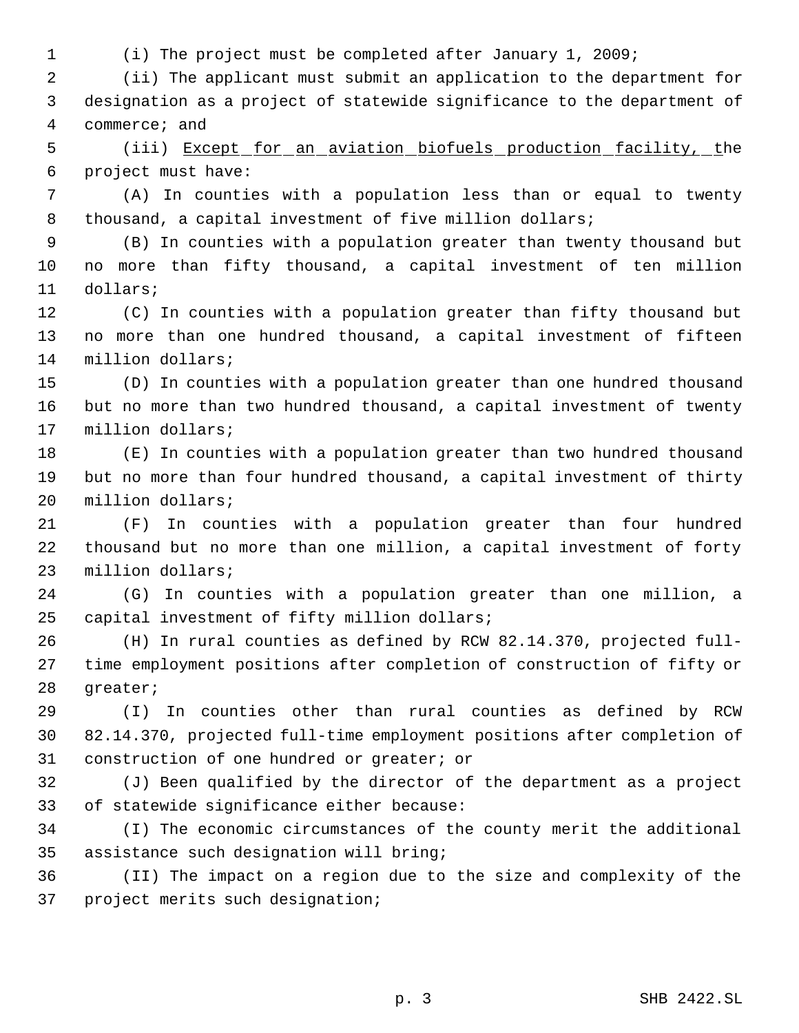(i) The project must be completed after January 1, 2009;

 (ii) The applicant must submit an application to the department for designation as a project of statewide significance to the department of commerce; and

 (iii) Except for an aviation biofuels production facility, the project must have:

 (A) In counties with a population less than or equal to twenty 8 thousand, a capital investment of five million dollars;

 (B) In counties with a population greater than twenty thousand but no more than fifty thousand, a capital investment of ten million dollars;

 (C) In counties with a population greater than fifty thousand but no more than one hundred thousand, a capital investment of fifteen million dollars;

 (D) In counties with a population greater than one hundred thousand but no more than two hundred thousand, a capital investment of twenty million dollars;

 (E) In counties with a population greater than two hundred thousand but no more than four hundred thousand, a capital investment of thirty million dollars;

 (F) In counties with a population greater than four hundred thousand but no more than one million, a capital investment of forty million dollars;

 (G) In counties with a population greater than one million, a capital investment of fifty million dollars;

 (H) In rural counties as defined by RCW 82.14.370, projected full- time employment positions after completion of construction of fifty or greater;

 (I) In counties other than rural counties as defined by RCW 82.14.370, projected full-time employment positions after completion of construction of one hundred or greater; or

 (J) Been qualified by the director of the department as a project of statewide significance either because:

 (I) The economic circumstances of the county merit the additional assistance such designation will bring;

 (II) The impact on a region due to the size and complexity of the project merits such designation;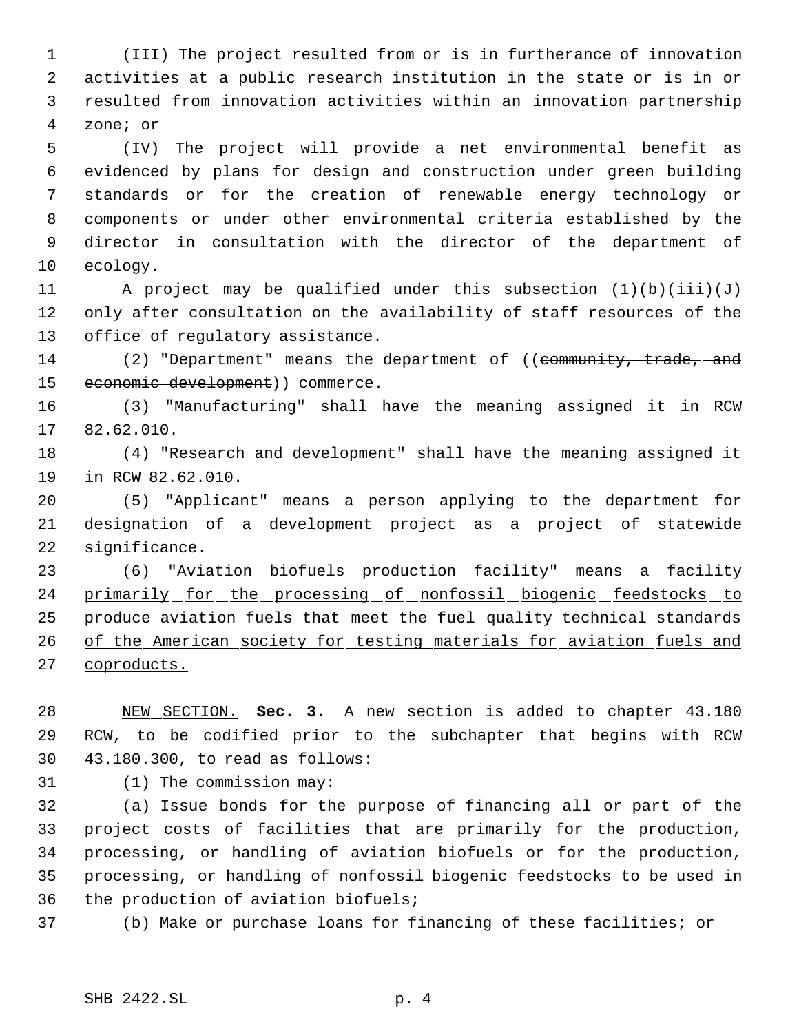(III) The project resulted from or is in furtherance of innovation activities at a public research institution in the state or is in or resulted from innovation activities within an innovation partnership zone; or

 (IV) The project will provide a net environmental benefit as evidenced by plans for design and construction under green building standards or for the creation of renewable energy technology or components or under other environmental criteria established by the director in consultation with the director of the department of ecology.

 A project may be qualified under this subsection (1)(b)(iii)(J) only after consultation on the availability of staff resources of the office of regulatory assistance.

14 (2) "Department" means the department of ((community, trade, and 15 economic development) ) commerce.

 (3) "Manufacturing" shall have the meaning assigned it in RCW 82.62.010.

 (4) "Research and development" shall have the meaning assigned it in RCW 82.62.010.

 (5) "Applicant" means a person applying to the department for designation of a development project as a project of statewide significance.

23 (6) "Aviation biofuels production facility" means a facility 24 primarily for the processing of nonfossil biogenic feedstocks to 25 produce aviation fuels that meet the fuel quality technical standards 26 of the American society for testing materials for aviation fuels and coproducts.

 NEW SECTION. **Sec. 3.** A new section is added to chapter 43.180 RCW, to be codified prior to the subchapter that begins with RCW 43.180.300, to read as follows:

(1) The commission may:

 (a) Issue bonds for the purpose of financing all or part of the project costs of facilities that are primarily for the production, processing, or handling of aviation biofuels or for the production, processing, or handling of nonfossil biogenic feedstocks to be used in the production of aviation biofuels;

(b) Make or purchase loans for financing of these facilities; or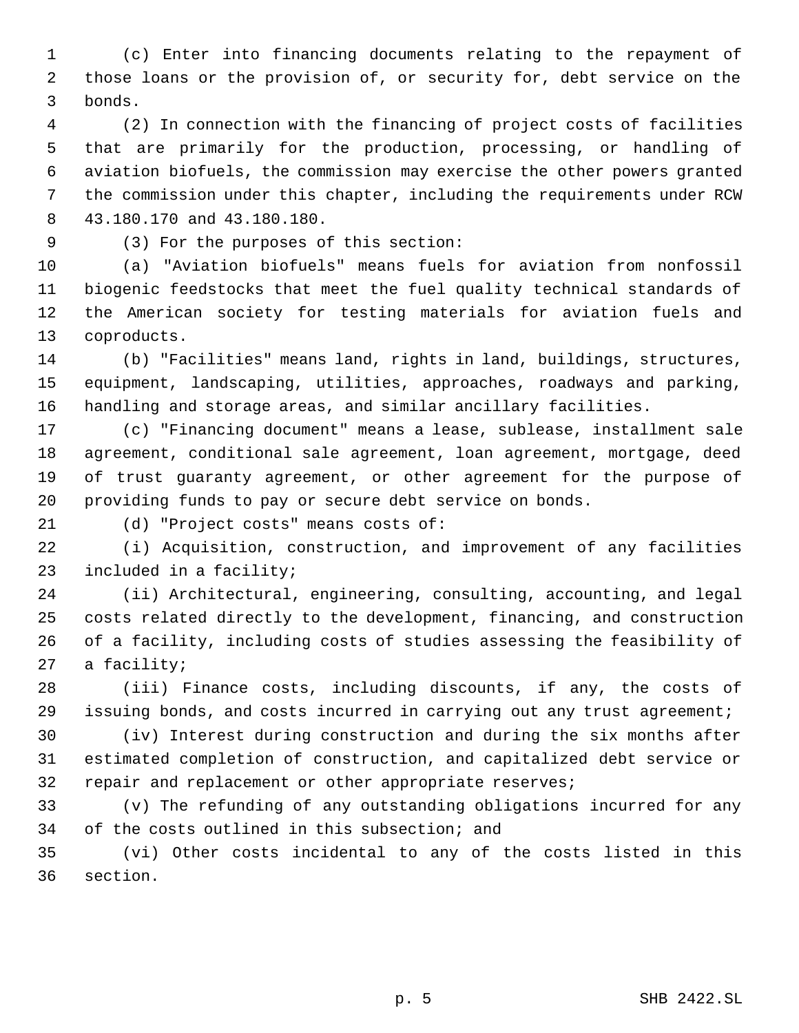(c) Enter into financing documents relating to the repayment of those loans or the provision of, or security for, debt service on the bonds.

 (2) In connection with the financing of project costs of facilities that are primarily for the production, processing, or handling of aviation biofuels, the commission may exercise the other powers granted the commission under this chapter, including the requirements under RCW 43.180.170 and 43.180.180.

(3) For the purposes of this section:

 (a) "Aviation biofuels" means fuels for aviation from nonfossil biogenic feedstocks that meet the fuel quality technical standards of the American society for testing materials for aviation fuels and coproducts.

 (b) "Facilities" means land, rights in land, buildings, structures, equipment, landscaping, utilities, approaches, roadways and parking, handling and storage areas, and similar ancillary facilities.

 (c) "Financing document" means a lease, sublease, installment sale agreement, conditional sale agreement, loan agreement, mortgage, deed of trust guaranty agreement, or other agreement for the purpose of providing funds to pay or secure debt service on bonds.

(d) "Project costs" means costs of:

 (i) Acquisition, construction, and improvement of any facilities included in a facility;

 (ii) Architectural, engineering, consulting, accounting, and legal costs related directly to the development, financing, and construction of a facility, including costs of studies assessing the feasibility of a facility;

 (iii) Finance costs, including discounts, if any, the costs of issuing bonds, and costs incurred in carrying out any trust agreement;

 (iv) Interest during construction and during the six months after estimated completion of construction, and capitalized debt service or 32 repair and replacement or other appropriate reserves;

 (v) The refunding of any outstanding obligations incurred for any of the costs outlined in this subsection; and

 (vi) Other costs incidental to any of the costs listed in this section.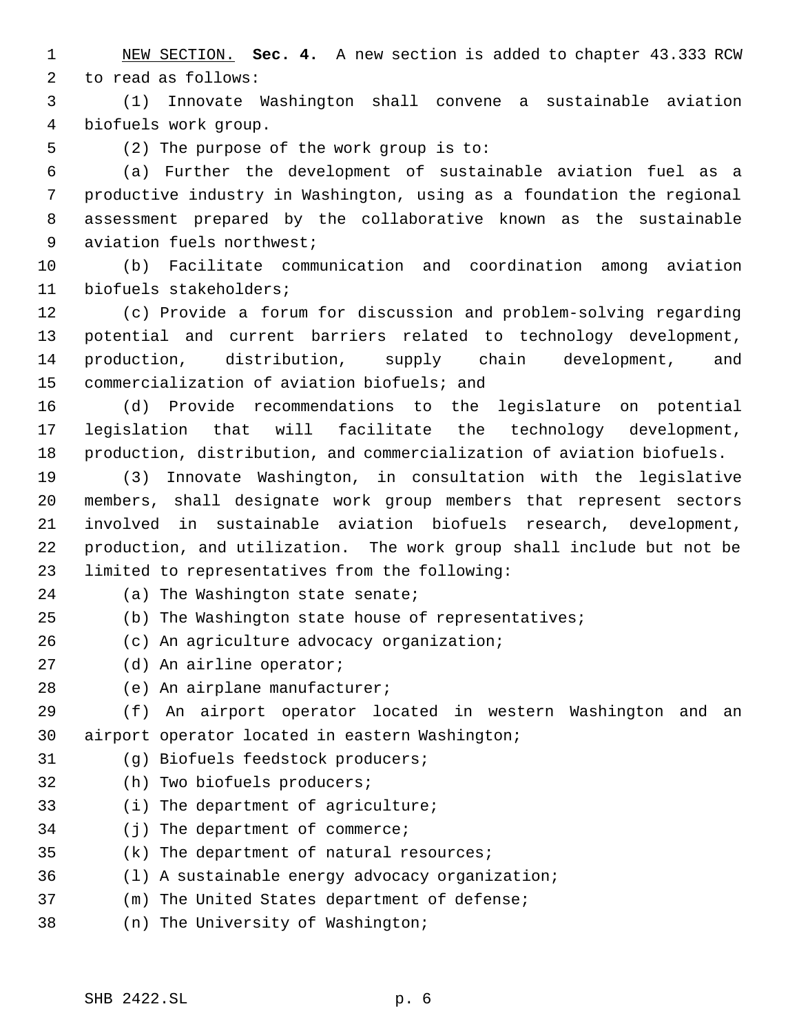NEW SECTION. **Sec. 4.** A new section is added to chapter 43.333 RCW to read as follows:

 (1) Innovate Washington shall convene a sustainable aviation biofuels work group.

(2) The purpose of the work group is to:

 (a) Further the development of sustainable aviation fuel as a productive industry in Washington, using as a foundation the regional assessment prepared by the collaborative known as the sustainable aviation fuels northwest;

 (b) Facilitate communication and coordination among aviation biofuels stakeholders;

 (c) Provide a forum for discussion and problem-solving regarding potential and current barriers related to technology development, production, distribution, supply chain development, and commercialization of aviation biofuels; and

 (d) Provide recommendations to the legislature on potential legislation that will facilitate the technology development, production, distribution, and commercialization of aviation biofuels.

 (3) Innovate Washington, in consultation with the legislative members, shall designate work group members that represent sectors involved in sustainable aviation biofuels research, development, production, and utilization. The work group shall include but not be limited to representatives from the following:

24 (a) The Washington state senate;

(b) The Washington state house of representatives;

(c) An agriculture advocacy organization;

(d) An airline operator;

(e) An airplane manufacturer;

 (f) An airport operator located in western Washington and an airport operator located in eastern Washington;

- (g) Biofuels feedstock producers;
- (h) Two biofuels producers;
- (i) The department of agriculture;
- (j) The department of commerce;
- (k) The department of natural resources;
- (l) A sustainable energy advocacy organization;
- (m) The United States department of defense;
- (n) The University of Washington;